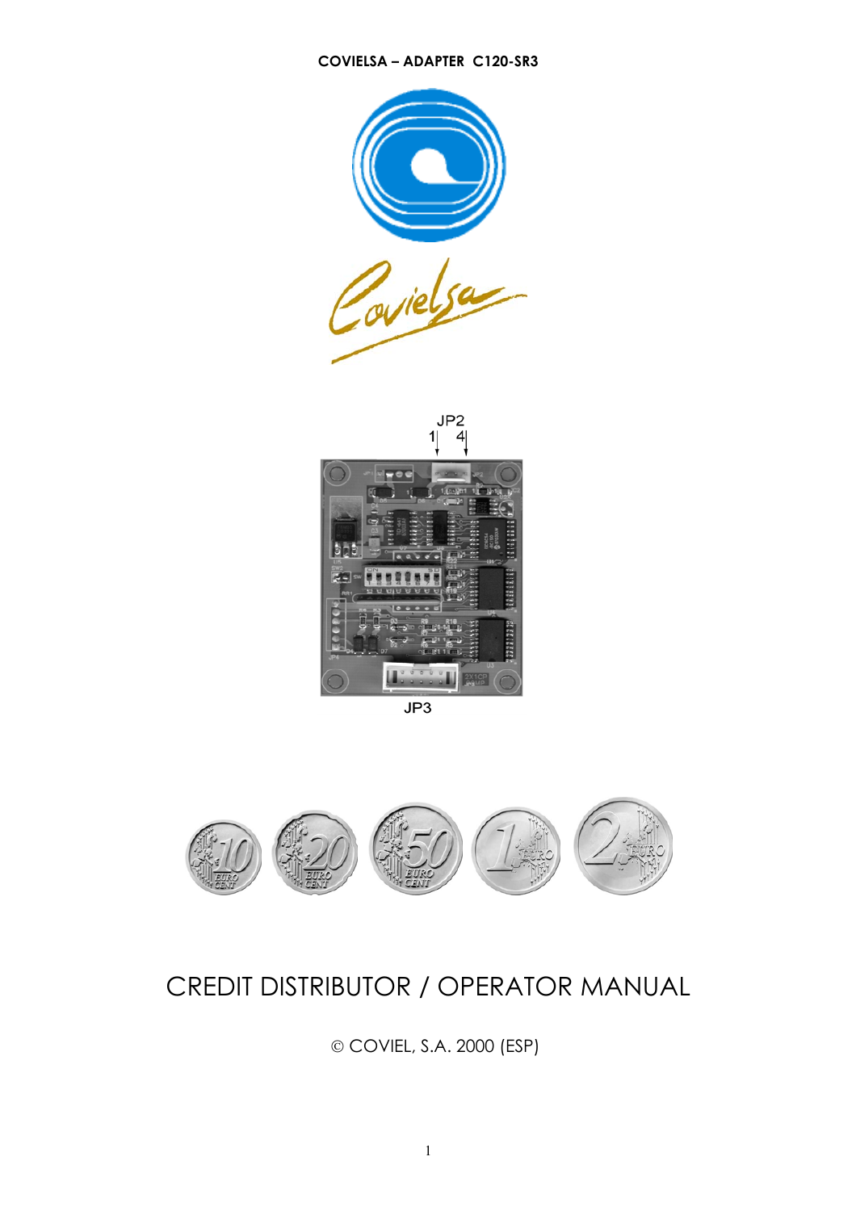#### **COVIELSA – ADAPTER C120-SR3**





 $JP3$ 



# CREDIT DISTRIBUTOR / OPERATOR MANUAL

© COVIEL, S.A. 2000 (ESP)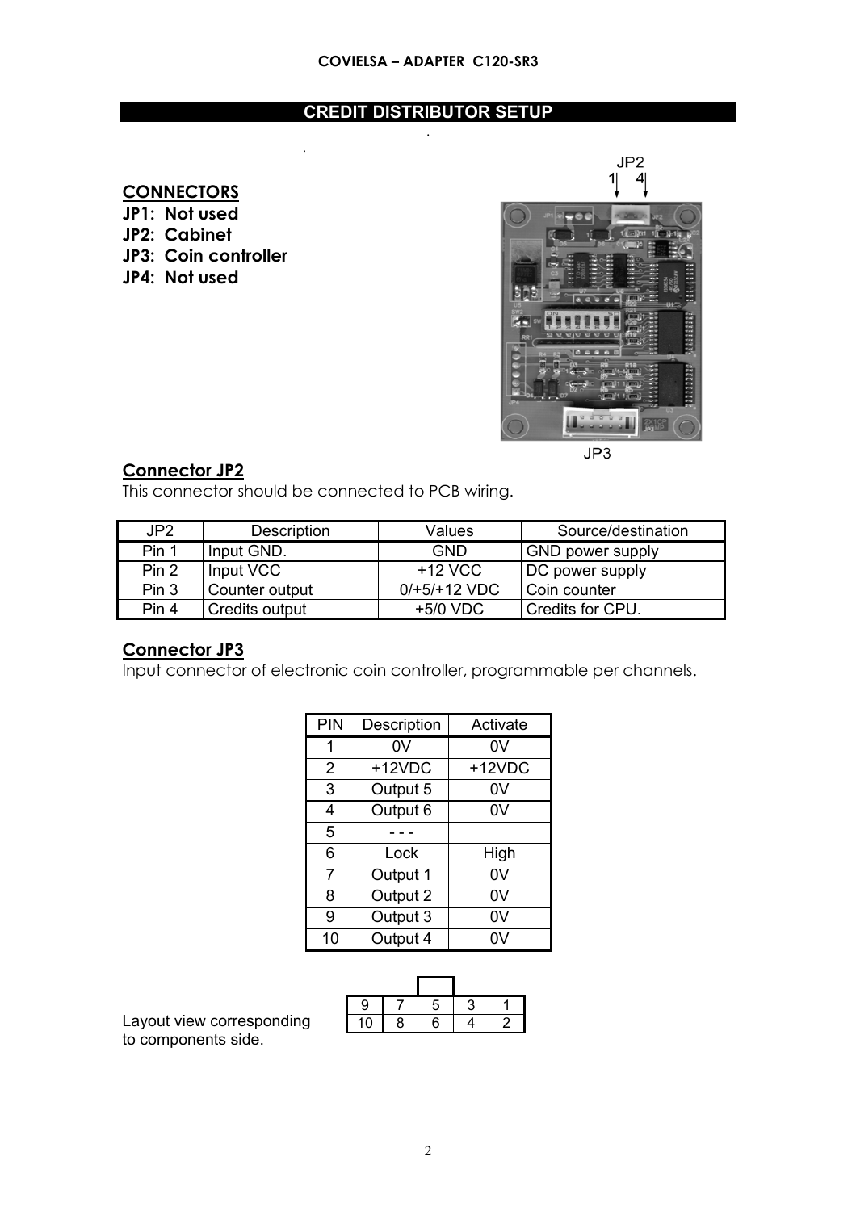#### **CREDIT DISTRIBUTOR SETUP** .

# **CONNECTORS**

**JP1: Not used JP2: Cabinet JP3: Coin controller JP4: Not used**



 $JP3$ 

## **Connector JP2**

This connector should be connected to PCB wiring.

.

| JP2   | Description    | Values         | Source/destination      |
|-------|----------------|----------------|-------------------------|
| Pin 1 | Input GND.     | <b>GND</b>     | <b>GND power supply</b> |
| Pin 2 | Input VCC      | $+12$ VCC      | DC power supply         |
| Pin 3 | Counter output | $0/+5/+12 VDC$ | Coin counter            |
| Pin 4 | Credits output | $+5/0$ VDC     | Credits for CPU.        |

#### **Connector JP3**

Input connector of electronic coin controller, programmable per channels.

| <b>PIN</b>     | Description | Activate |
|----------------|-------------|----------|
| 1              | 0V          | 0V       |
| $\overline{2}$ | +12VDC      | +12VDC   |
| 3              | Output 5    | 0V       |
| 4              | Output 6    | 0V       |
| 5              |             |          |
| 6              | Lock        | High     |
| 7              | Output 1    | 0V       |
| 8              | Output 2    | 0V       |
| 9              | Output 3    | 0V       |
| 10             | Output 4    | 0V       |

| g |   | Ξ |  |
|---|---|---|--|
|   | 8 | 6 |  |

Layout view corresponding to components side.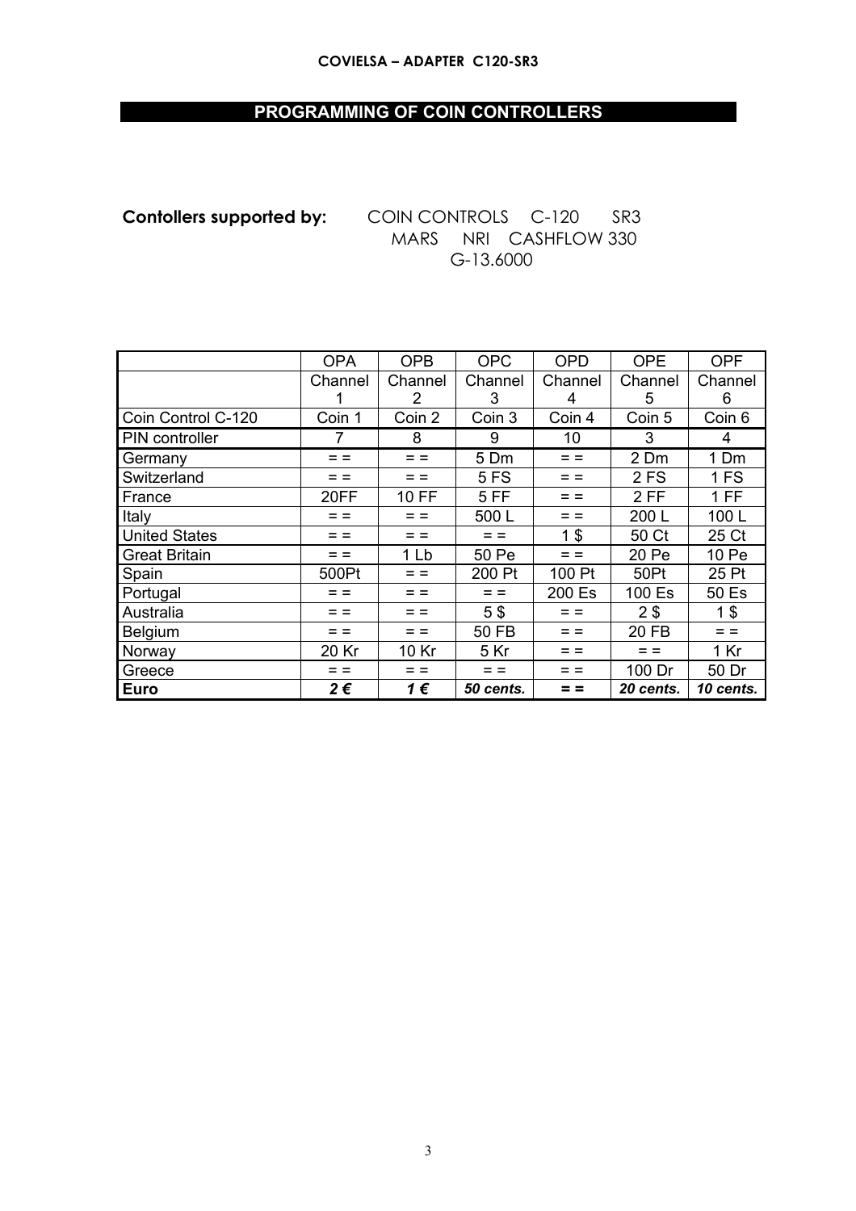#### **COVIELSA - ADAPTER C120-SR3**

# PROGRAMMING OF COIN CONTROLLERS

**Contollers supported by:** COIN CONTROLS C-120 SR3 MARS NRI CASHFLOW 330 G-13.6000

|                      | <b>OPA</b> | <b>OPB</b>     | <b>OPC</b>   | <b>OPD</b> | <b>OPE</b>     | <b>OPF</b>     |
|----------------------|------------|----------------|--------------|------------|----------------|----------------|
|                      | Channel    | Channel        | Channel      | Channel    | Channel        | Channel        |
|                      |            | $\overline{2}$ | 3            | 4          | 5              | 6              |
| Coin Control C-120   | Coin 1     | Coin 2         | Coin 3       | Coin 4     | Coin 5         | Coin 6         |
| PIN controller       | 7          | 8              | 9            | 10         | 3              | 4              |
| Germany              | $=$ $=$    | $=$ $=$        | 5 Dm         | $=$ $=$    | 2 Dm           | 1 Dm           |
| Switzerland          | $=$ $=$    |                | <b>5 FS</b>  | = =        | 2FS            | 1 FS           |
| France               | 20FF       | 10 FF          | 5FF          | $=$ $=$    | $2$ FF         | 1 FF           |
| Italy                | $=$ $=$    | $=$ $=$        | 500L         | $=$ $=$    | 200 L          | 100L           |
| <b>United States</b> | $=$ $=$    | = =            | $=$ $=$      | 1\$        | 50 Ct          | 25 Ct          |
| <b>Great Britain</b> | $=$ $=$    | 1 Lb           | 50 Pe        | $=$ $=$    | 20 Pe          | 10 Pe          |
| Spain                | 500Pt      | $=$ $=$        | 200 Pt       | 100 Pt     | 50Pt           | 25 Pt          |
| Portugal             | $=$ $=$    | $=$ $=$        | $=$ $=$      | 200 Es     | 100 Es         | 50 Es          |
| Australia            | $=$ $=$    | $=$ $=$        | 5\$          | $=$ $=$    | 2 <sub>3</sub> | 1 <sup>§</sup> |
| Belgium              | $=$ $=$    | $=$ $=$        | <b>50 FB</b> | $=$ $=$    | <b>20 FB</b>   | $=$ $=$        |
| Norway               | 20 Kr      | 10 Kr          | 5 Kr         | $=$ $=$    | $=$ $=$        | 1 Kr           |
| Greece               | $=$ $=$    | $=$ $=$        | $=$ $=$      | $=$ $=$    | 100 Dr         | 50 Dr          |
| <b>Euro</b>          | 2€         | 1€             | 50 cents.    |            | 20 cents.      | 10 cents.      |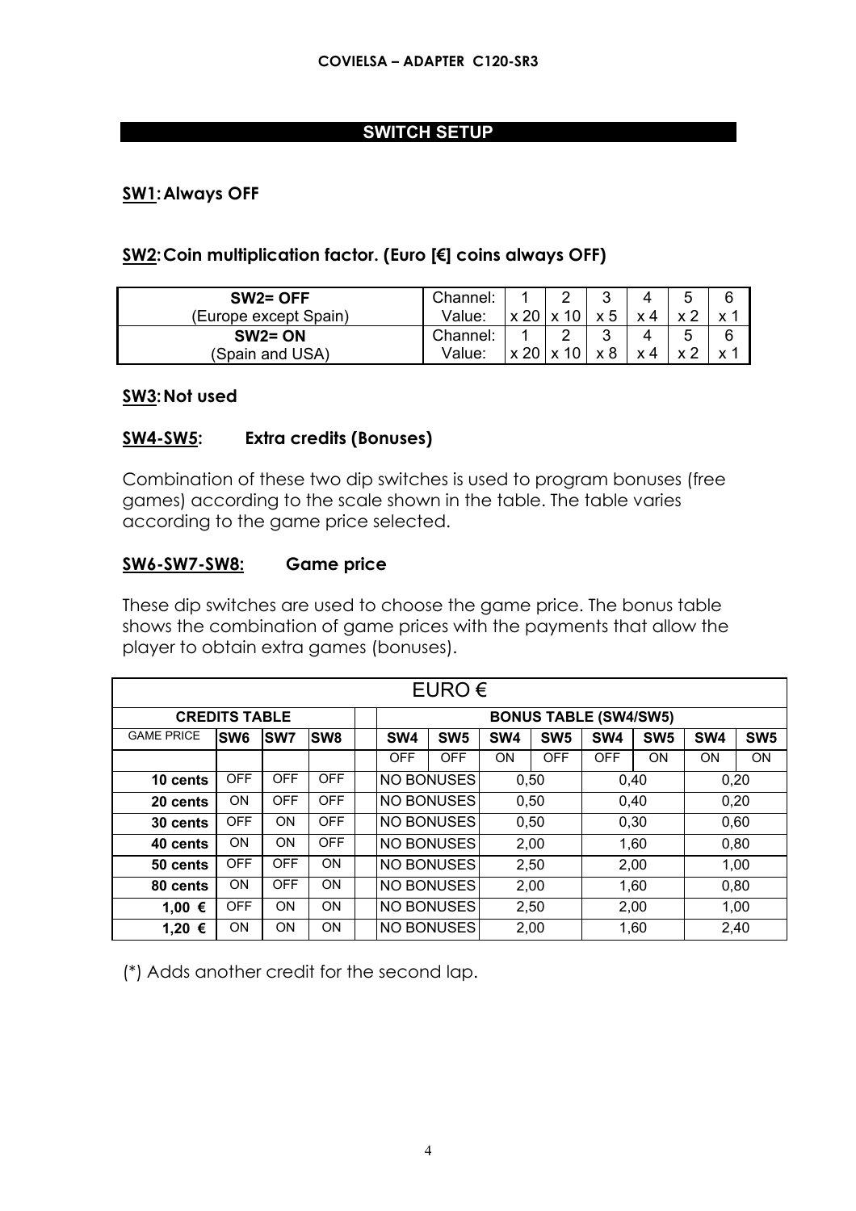## **SWITCH SETUP**

# **SW1: Always OFF**

### **SW2: Coin multiplication factor. (Euro [€] coins always OFF)**

| $SW2 = OFF$           | Channel: |  |    |  |  |
|-----------------------|----------|--|----|--|--|
| (Europe except Spain) | Value:   |  | ット |  |  |
| $SW2 = ON$            | Channel: |  |    |  |  |
| (Spain and USA)       | Value:   |  |    |  |  |

#### **SW3: Not used**

#### **SW4-SW5: Extra credits (Bonuses)**

Combination of these two dip switches is used to program bonuses (free games) according to the scale shown in the table. The table varies according to the game price selected.

### **SW6-SW7-SW8: Game price**

These dip switches are used to choose the game price. The bonus table shows the combination of game prices with the payments that allow the player to obtain extra games (bonuses).

| EURO $\epsilon$      |                 |            |            |  |                 |                                   |           |                 |                 |                 |                 |                 |
|----------------------|-----------------|------------|------------|--|-----------------|-----------------------------------|-----------|-----------------|-----------------|-----------------|-----------------|-----------------|
| <b>CREDITS TABLE</b> |                 |            |            |  |                 | <b>BONUS TABLE (SW4/SW5)</b>      |           |                 |                 |                 |                 |                 |
| <b>GAME PRICE</b>    | SW <sub>6</sub> | <b>SW7</b> | <b>SW8</b> |  | SW <sub>4</sub> | SW <sub>5</sub>                   | SW4       | SW <sub>5</sub> | SW <sub>4</sub> | SW <sub>5</sub> | SW <sub>4</sub> | SW <sub>5</sub> |
|                      |                 |            |            |  | <b>OFF</b>      | <b>OFF</b>                        | <b>ON</b> | <b>OFF</b>      | <b>OFF</b>      | ON              | <b>ON</b>       | <b>ON</b>       |
| 10 cents             | <b>OFF</b>      | <b>OFF</b> | <b>OFF</b> |  | NO BONUSES      |                                   | 0,50      |                 | 0.40            |                 | 0,20            |                 |
| 20 cents             | <b>ON</b>       | <b>OFF</b> | <b>OFF</b> |  | NO BONUSES      |                                   | 0,50      |                 | 0,40            |                 | 0,20            |                 |
| 30 cents             | <b>OFF</b>      | <b>ON</b>  | <b>OFF</b> |  | NO BONUSES      |                                   | 0,50      |                 | 0,30            |                 | 0,60            |                 |
| 40 cents             | <b>ON</b>       | <b>ON</b>  | <b>OFF</b> |  | NO BONUSES      |                                   | 2,00      |                 | 1,60            |                 | 0,80            |                 |
| 50 cents             | <b>OFF</b>      | <b>OFF</b> | <b>ON</b>  |  | NO BONUSES      |                                   | 2,50      |                 | 2,00            |                 | 1,00            |                 |
| 80 cents             | <b>ON</b>       | <b>OFF</b> | <b>ON</b>  |  | NO BONUSES      |                                   | 2,00      |                 | 1,60            |                 | 0,80            |                 |
| 1,00 €               | <b>OFF</b>      | ON         | <b>ON</b>  |  | NO BONUSES      |                                   | 2,50      |                 | 2,00            |                 | 1,00            |                 |
| 1,20 €               | <b>ON</b>       | <b>ON</b>  | <b>ON</b>  |  |                 | <b>NO BONUSES</b><br>2,00<br>1,60 |           |                 |                 | 2,40            |                 |                 |

(\*) Adds another credit for the second lap.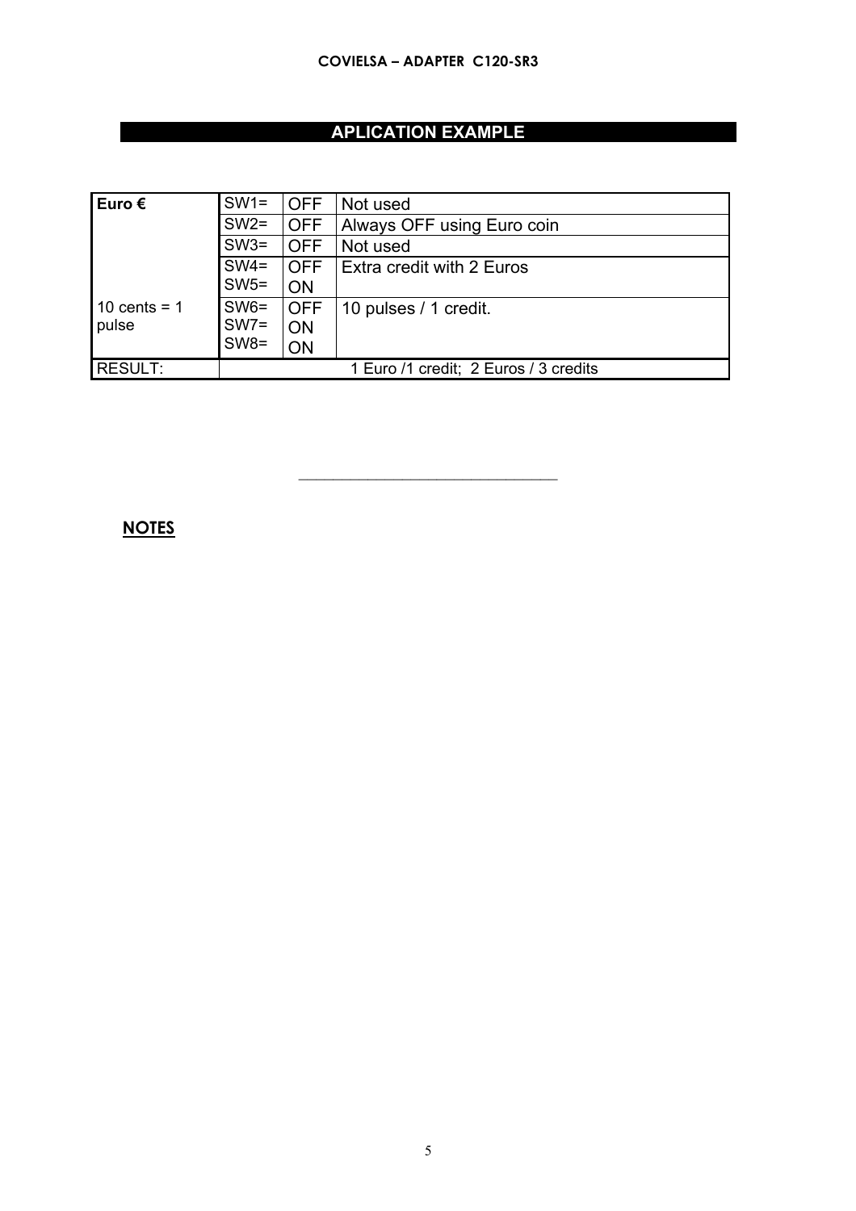# **APLICATION EXAMPLE**

| , Euro €       | $SW1 =$                               | <b>OFF</b> | Not used                         |  |  |
|----------------|---------------------------------------|------------|----------------------------------|--|--|
|                | $SW2=$                                | <b>OFF</b> | Always OFF using Euro coin       |  |  |
|                | $SW3=$                                | <b>OFF</b> | Not used                         |  |  |
|                | $SW4=$                                | <b>OFF</b> | <b>Extra credit with 2 Euros</b> |  |  |
|                | $SW5 =$                               | ON         |                                  |  |  |
| 10 cents = $1$ | $SW6 =$                               | <b>OFF</b> | 10 pulses / 1 credit.            |  |  |
| pulse          | $SW7=$                                | <b>ON</b>  |                                  |  |  |
|                | $SW8 =$                               | ON         |                                  |  |  |
| <b>RESULT:</b> | 1 Euro /1 credit; 2 Euros / 3 credits |            |                                  |  |  |

 $\overline{\phantom{a}}$  , where  $\overline{\phantom{a}}$  , where  $\overline{\phantom{a}}$  , where  $\overline{\phantom{a}}$ 

# **NOTES**